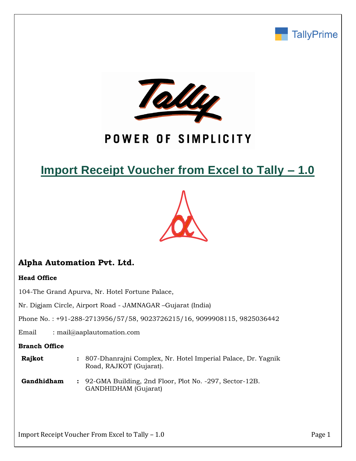



# POWER OF SIMPLICITY

# **Import Receipt Voucher from Excel to Tally – 1.0**



# **Alpha Automation Pvt. Ltd.**

## **Head Office**

104-The Grand Apurva, Nr. Hotel Fortune Palace,

Nr. Digjam Circle, Airport Road - JAMNAGAR –Gujarat (India)

Phone No. : +91-288-2713956/57/58, 9023726215/16, 9099908115, 9825036442

Email : mail@aaplautomation.com

### **Branch Office**

| Rajkot | : 807-Dhanrajni Complex, Nr. Hotel Imperial Palace, Dr. Yagnik |
|--------|----------------------------------------------------------------|
|        | Road, RAJKOT (Gujarat).                                        |

**Gandhidham :** 92-GMA Building, 2nd Floor, Plot No. -297, Sector-12B. GANDHIDHAM (Gujarat)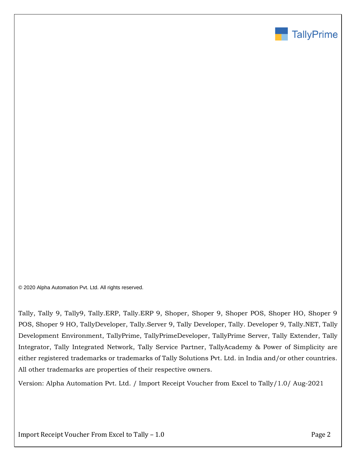

© 2020 Alpha Automation Pvt. Ltd. All rights reserved.

Tally, Tally 9, Tally9, Tally.ERP, Tally.ERP 9, Shoper, Shoper 9, Shoper POS, Shoper HO, Shoper 9 POS, Shoper 9 HO, TallyDeveloper, Tally.Server 9, Tally Developer, Tally. Developer 9, Tally.NET, Tally Development Environment, TallyPrime, TallyPrimeDeveloper, TallyPrime Server, Tally Extender, Tally Integrator, Tally Integrated Network, Tally Service Partner, TallyAcademy & Power of Simplicity are either registered trademarks or trademarks of Tally Solutions Pvt. Ltd. in India and/or other countries. All other trademarks are properties of their respective owners.

Version: Alpha Automation Pvt. Ltd. / Import Receipt Voucher from Excel to Tally/1.0/ Aug-2021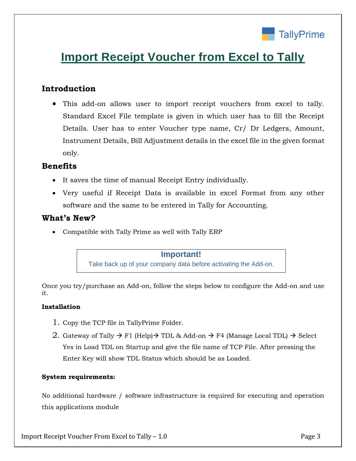

# **Import Receipt Voucher from Excel to Tally**

## **Introduction**

• This add-on allows user to import receipt vouchers from excel to tally. Standard Excel File template is given in which user has to fill the Receipt Details. User has to enter Voucher type name, Cr/ Dr Ledgers, Amount, Instrument Details, Bill Adjustment details in the excel file in the given format only.

## **Benefits**

- It saves the time of manual Receipt Entry individually.
- Very useful if Receipt Data is available in excel Format from any other software and the same to be entered in Tally for Accounting.

## **What's New?**

• Compatible with Tally Prime as well with Tally ERP

## **Important!**

Take back up of your company data before activating the Add-on.

Once you try/purchase an Add-on, follow the steps below to configure the Add-on and use it.

#### **Installation**

- 1. Copy the TCP file in TallyPrime Folder.
- 2. Gateway of Tally  $\rightarrow$  F1 (Help) $\rightarrow$  TDL & Add-on  $\rightarrow$  F4 (Manage Local TDL)  $\rightarrow$  Select Yes in Load TDL on Startup and give the file name of TCP File. After pressing the Enter Key will show TDL Status which should be as Loaded.

#### **System requirements:**

No additional hardware / software infrastructure is required for executing and operation this applications module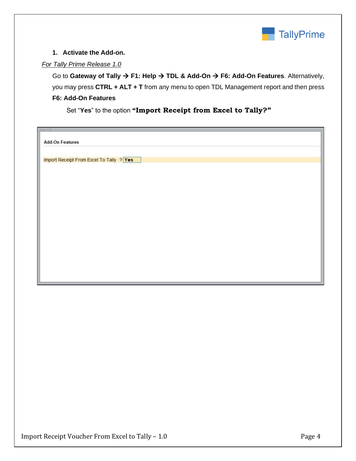

### **1. Activate the Add-on.**

### *For Tally Prime Release 1.0*

Go to **Gateway of Tally** → **F1: Help** → **TDL & Add-On** → **F6: Add-On Features**. Alternatively, you may press **CTRL + ALT + T** from any menu to open TDL Management report and then press **F6: Add-On Features**

Set "**Yes**" to the option **"Import Receipt from Excel to Tally?"**

| tyt seits                                |  |
|------------------------------------------|--|
|                                          |  |
| <b>Add-On Features</b>                   |  |
|                                          |  |
|                                          |  |
| Import Receipt From Excel To Tally ? Yes |  |
|                                          |  |
|                                          |  |
|                                          |  |
|                                          |  |
|                                          |  |
|                                          |  |
|                                          |  |
|                                          |  |
|                                          |  |
|                                          |  |
|                                          |  |
|                                          |  |
|                                          |  |
|                                          |  |
|                                          |  |
|                                          |  |
|                                          |  |
|                                          |  |
|                                          |  |
|                                          |  |
|                                          |  |
|                                          |  |
|                                          |  |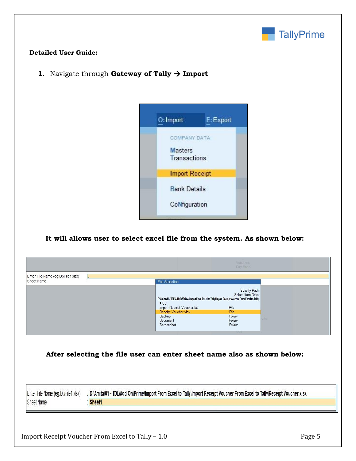

### **Detailed User Guide:**

**1.** Navigate through **Gateway of Tally** → **Import** 



## **It will allows user to select excel file from the system. As shown below:**

|                                                  |                                                                                                                                             | Vouchers:<br>Day Book                     |      |
|--------------------------------------------------|---------------------------------------------------------------------------------------------------------------------------------------------|-------------------------------------------|------|
| Enter File Name (eg:D:\File1.xlsx)<br>Sheet Name | <b>File Selection</b>                                                                                                                       |                                           |      |
|                                                  | D:\Amita\D1 - TDL\Add On\Prime\Import From Excel to Tally\Import Receipt Voucher From Excel to Tally<br>$+Up$<br>Import Receipt Voucher.txt | Specify Path<br>Select from Drive<br>File |      |
|                                                  | Receipt Voucher.xlsx<br>Backup<br>Document<br>Screenshot                                                                                    | File<br>Folder<br>Folder<br>Folder<br>.   | orts |

**After selecting the file user can enter sheet name also as shown below:**

Enter File Name (eg:D:\File1.xlsx) D:\Amita\01 - TDL\Add On\Prime\Import From Excel to Tally\Import Receipt Voucher From Excel to Tally\Receipt Voucher.xlsx Í Sheet Name Sheet1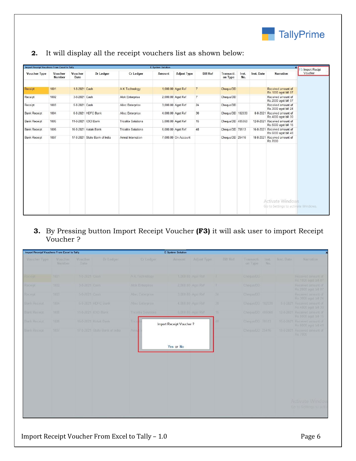

| Import Receipt Vouchers From Excel to Tally |                          |                 |                               |                            | <b>E</b> System Solution |                     |                 |                       |              |            | $\times$                                                |
|---------------------------------------------|--------------------------|-----------------|-------------------------------|----------------------------|--------------------------|---------------------|-----------------|-----------------------|--------------|------------|---------------------------------------------------------|
| <b>Voucher Type</b>                         | Voucher<br><b>Number</b> | Voucher<br>Date | Dr Ledger                     | Cr Ledger                  | Amount                   | <b>Adjust Type</b>  | <b>Bill Ref</b> | Transacti-<br>on Type | Inst.<br>No. | Inst. Date | <b>Narration</b>                                        |
| Receipt                                     | 1001                     | 1-8-2021 Cash   |                               | A K Technology             |                          | 1,000.00 Agst Ref   | $\overline{7}$  | Cheque/DD             |              |            | Received amount of<br>Rs. 1000 agst bill 07             |
| Receipt                                     | 1002                     | 3-8-2021 Cash   |                               | Alok Enterprise            |                          | 2,000.00 Agst Ref   | $\overline{7}$  | Cheque/DD             |              |            | Received amount of<br>Rs.2000 agst bill 07              |
| Receipt                                     | 1003                     | 5-8-2021 Cash   |                               | Allec Enterprise           |                          | 3,000.00 Agst Ref   | 24              | Cheque/DD             |              |            | Received amount of<br>Rs.3000 agst bill 24              |
| <b>Bank Receipt</b>                         | 1004                     |                 | 6-8-2021 HDFC Bank            | Allec Enterprise           |                          | 4,000.00 Agst Ref   | 30              | Cheque/DD 102030      |              |            | 8-8-2021 Received amount of<br>Rs.4000 agst bill 30     |
| <b>Bank Receipt</b>                         | 1005                     |                 | 11-8-2021 ICICI Bank          | <b>Tricolite Solutions</b> |                          | 5,000.00 Agst Ref   | 15              | Cheque/DD 405060      |              |            | 12-8-2021 Received amount of<br>Rs.5000 agst bill 15    |
| <b>Bank Receipt</b>                         | 1006                     |                 | 16-8-2021 Kotak Bank          | <b>Tricolite Solutions</b> |                          | 6,000.00 Agst Ref   | 48              | Cheque/DD 70513       |              |            | 16-8-2021 Received amount of<br>Rs.6000 agst bill 48    |
| <b>Bank Receipt</b>                         | 1007                     |                 | 17-8-2021 State Bank of India | Amrut Internation          |                          | 7,000.00 On Account |                 | Cheque/DD 25416       |              | 18-8-2021  | Received amount of<br>Rs.7000                           |
|                                             |                          |                 |                               |                            |                          |                     |                 |                       |              |            |                                                         |
|                                             |                          |                 |                               |                            |                          |                     |                 |                       |              |            | Activate Windows<br>Go to Settings to activate Windows. |

**2.** It will display all the receipt vouchers list as shown below:

**3.** By Pressing button Import Receipt Voucher **(F3)** it will ask user to import Receipt Voucher ?

| <b>Import Receipt Vouchers From Excel to Tally</b> |                   |                 |                               |                           | <b>E</b> System Solution |                   |                 |                       |              |            |                                                      |
|----------------------------------------------------|-------------------|-----------------|-------------------------------|---------------------------|--------------------------|-------------------|-----------------|-----------------------|--------------|------------|------------------------------------------------------|
| Voucher Type                                       | Voucher<br>Number | Voucher<br>Date | Dr Ledger                     | Cr Ledger                 | Amount                   | Adjust Type       | <b>Bill Ref</b> | Transacti-<br>on Type | Inst.<br>No. | Inst. Date | Narration                                            |
| Receipt                                            | 1001              | 1-8-2021 Cash   |                               | A K Technology            |                          | 1,000,00 Agst Ref | 7.              | Cheque/DD             |              |            | Received amount of<br>Rs 1000 agst bill 07           |
| Receim                                             | 1002              | 3-8-2021 Cash   |                               | Alok Enterprise           |                          | 2,000.00 Agst Ref | 7               | Cheque/DD             |              |            | Received amount of<br>Rs 2000 agst bill 07           |
| Receipt                                            | 1003              | 5-8-2021 Cash   |                               | Allec Enterprise          |                          | 3,000.00 Agst Ref | 24              | Cheque/DD             |              |            | Received amount of<br>Rs.3000 agst bill 24           |
| Bank Receipt                                       | 1004              |                 | 6-8-2021 HDFC Bank            | Allec Enterprise          |                          | 4,000.00 Agst Ref | 30              | Cheque/DD 102030      |              |            | 8-8-2021 Received amount of<br>Rs 4000 agst bill 30  |
| Bank Receipt                                       | 1005              |                 | 11-8-2021 ICICI Bank          | <b>Theplite Solutions</b> |                          | 5,000.00 Agst Ref | 15              | Cheque/DD 405060      |              |            | 12-8-2021 Received amount of<br>Rs.5000 agst bill 15 |
| Bank Receipt                                       | 1006              |                 | 16-8-2021 Kotak Bank          | Trick                     | Import Receipt Voucher?  |                   | £8              | Cheque/DD 70513       |              |            | 16-8-2021 Received amount of<br>Rs 6000 agst bill 48 |
| Bank Receipt                                       | 1007              |                 | 17-8-2021 State Bank of India | Amn                       |                          |                   |                 | Cheque/DD 25416       |              |            | 18-8-2021 Received amount of<br>Rs 7000              |
|                                                    |                   |                 |                               |                           | Yes or No                |                   |                 |                       |              |            |                                                      |
|                                                    |                   |                 |                               |                           |                          |                   |                 |                       |              |            | <b>Activate Windo</b><br>Go to Settings to act       |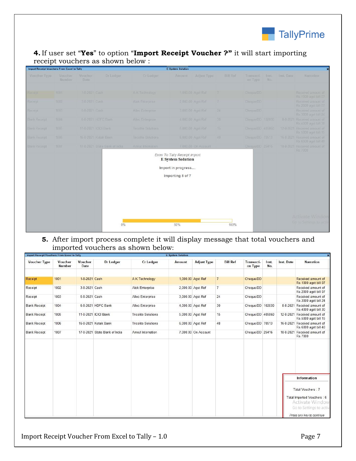

## **4.** If user set "**Yes**" to option "**Import Receipt Voucher ?"** it will start importing receipt vouchers as shown below :

| <b>Import Receipt Vouchers From Excel to Tally</b> |                   |                 |                               |                     | <b>E</b> System Solution                                                                            |                     |                 |                       |               |            | $\overline{\mathbf{x}}$                              |
|----------------------------------------------------|-------------------|-----------------|-------------------------------|---------------------|-----------------------------------------------------------------------------------------------------|---------------------|-----------------|-----------------------|---------------|------------|------------------------------------------------------|
| Voucher Type                                       | Voucher<br>Number | Voucher<br>Date | <b>Dr</b> Ledger              | Cr Ledger           | Amount                                                                                              | Adjust Type         | <b>Bill Ref</b> | Transacti-<br>on Type | liisti<br>No. | Inst. Date | Narration                                            |
| Keceipt                                            | 1001              | 1-8-2021 Cash   |                               | A K Technology      |                                                                                                     | 1,000.00 Agst Ref   | $7^{\circ}$     | Cheque/DD             |               |            | Received amount of<br>Rs 1000 agst bill 07           |
| Receipt                                            | 1002              | 3-8-2021 Cash   |                               | Alok Enterprise     |                                                                                                     | 2,000.00 Agst Ref   | 7               | Cheque/DD             |               |            | Received amount of<br>Rs 2000 agst bill 07           |
| Receipt                                            | 1003              | 5-8-2021 Cash   |                               | Allec Enterprise    |                                                                                                     | 3,000.00 Agst Ref   | 24              | Cheque/DD             |               |            | Received amount of<br>Rs 3000 agst bill 24           |
| Bank Receipt                                       | 1004              |                 | 6-8-2021 HDFC Bank            | Allec Enterprise    |                                                                                                     | 4,000.00 Agst Ref   | 30              | Cheque/DD 102030      |               |            | 8-8-2021 Received amount of<br>Rs 4000 agst bill 30  |
| Bank Receipt                                       | 1005              |                 | 11-8-2021 ICICI Bank          | Tricolite Solutions |                                                                                                     | 5,000.00 Agst Ref   | 15              | Cheque/DD 405060      |               |            | 12-8-2021 Received amount of<br>Rs.5000 agst bill 15 |
| Bank Receipt                                       | 1006              |                 | 16-8-2021 Kotak Bank          | Tricolite Solutions |                                                                                                     | 6,000.00 Agst Ref   | 28              | Cheque/DD 70513       |               |            | 16-8-2021 Received amount of<br>Rs.6000 agst bill 48 |
| Bank Receipt                                       | 1007              |                 | 17-8-2021 State Bank of India | Amrut Internation   |                                                                                                     | 7,000.00 On Account |                 | Cheque/DD 25416       |               |            | 18-8-2021 Received amount of<br>Rs.7000              |
|                                                    |                   |                 |                               |                     | Excel To Tally Receipt Import<br><b>E</b> System Solution<br>Import in progress<br>Importing 5 of 7 |                     |                 |                       |               |            |                                                      |
|                                                    |                   |                 | 0%                            |                     | 50%                                                                                                 |                     | 100%            |                       |               |            | <b>Activate Window</b><br>Go to Settings to activ    |

## **5.** After import process complete it will display message that total vouchers and imported vouchers as shown below:

| <b>Import Receipt Vouchers From Excel to Tally</b> |                          |                 |                               |                            | <b>E</b> System Solution |                     |                 |                       |              |                | $\boldsymbol{\mathsf{x}}$                     |
|----------------------------------------------------|--------------------------|-----------------|-------------------------------|----------------------------|--------------------------|---------------------|-----------------|-----------------------|--------------|----------------|-----------------------------------------------|
| <b>Voucher Type</b>                                | Voucher<br><b>Number</b> | Voucher<br>Date | Dr Ledger                     | Cr Ledger                  | Amount                   | <b>Adjust Type</b>  | <b>Bill Ref</b> | Transacti-<br>on Type | Inst.<br>No. | Inst. Date     | <b>Narration</b>                              |
| Receipt                                            | 1001                     | 1-8-2021 Cash   |                               | <b>AK Technology</b>       |                          | 1,000.00 Agst Ref   |                 | Cheque/DD             |              |                | Received amount of<br>Rs. 1000 agst bill 07   |
| Receipt                                            | 1002                     | 3-8-2021 Cash   |                               | Alok Enterprise            |                          | 2,000.00 Agst Ref   | $\overline{7}$  | Cheque/DD             |              |                | Received amount of<br>Rs.2000 agst bill 07    |
| Receipt                                            | 1003                     | 5-8-2021 Cash   |                               | Allec Enterprise           |                          | 3,000.00 Agst Ref   | 24              | Cheque/DD             |              |                | Received amount of<br>Rs.3000 agst bill 24    |
| <b>Bank Receipt</b>                                | 1004                     |                 | 6-8-2021 HDFC Bank            | Allec Enterprise           |                          | 4,000.00 Agst Ref   | 30              | Cheque/DD 102030      |              | $8 - 8 - 2021$ | Received amount of<br>Rs.4000 agst bill 30    |
| <b>Bank Receipt</b>                                | 1005                     |                 | 11-8-2021 ICICI Bank          | <b>Tricolite Solutions</b> |                          | 5,000.00 Agst Ref   | 15              | Cheque/DD 405060      |              | 12-8-2021      | Received amount of<br>Rs.5000 agst bill 15    |
| <b>Bank Receipt</b>                                | 1006                     |                 | 16-8-2021 Kotak Bank          | <b>Tricolite Solutions</b> |                          | 6,000.00 Agst Ref   | 48              | Cheque/DD 70513       |              | 16-8-2021      | Received amount of<br>Rs.6000 agst bill 48    |
| <b>Bank Receipt</b>                                | 1007                     |                 | 17-8-2021 State Bank of India | Amrut Internation          |                          | 7,000.00 On Account |                 | Cheque/DD 25416       |              | 18-8-2021      | Received amount of<br>Rs.7000                 |
|                                                    |                          |                 |                               |                            |                          |                     |                 |                       |              |                |                                               |
|                                                    |                          |                 |                               |                            |                          |                     |                 |                       |              |                |                                               |
|                                                    |                          |                 |                               |                            |                          |                     |                 |                       |              |                |                                               |
|                                                    |                          |                 |                               |                            |                          |                     |                 |                       |              |                | Information                                   |
|                                                    |                          |                 |                               |                            |                          |                     |                 |                       |              |                | Total Vouchers: 7                             |
|                                                    |                          |                 |                               |                            |                          |                     |                 |                       |              |                | Total Imported Vouchers: 6<br>Activate Window |
|                                                    |                          |                 |                               |                            |                          |                     |                 |                       |              |                | Go to Settings to active                      |
|                                                    |                          |                 |                               |                            |                          |                     |                 |                       |              |                | Press any key to continue                     |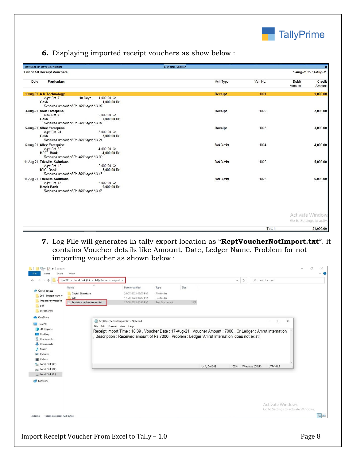

**6.** Displaying imported receipt vouchers as show below :

| Day Book (In Developer Mode)                                                                                 |                                       | <b>E</b> System Solution |                     |         |                                             | $\boldsymbol{\mathsf{x}}$ |
|--------------------------------------------------------------------------------------------------------------|---------------------------------------|--------------------------|---------------------|---------|---------------------------------------------|---------------------------|
| <b>List of All Receipt Vouchers</b>                                                                          |                                       |                          |                     |         |                                             | 1-Aug-21 to 31-Aug-21     |
| Date<br><b>Particulars</b>                                                                                   |                                       |                          | Vch Type            | Vch No. | Debit<br>Amount                             | Credit<br>Amount          |
| 1-Aug-21 A K Technology<br>Agst Ref 7<br>Cash                                                                | 1,000.00 Cr<br>10 Days<br>1,000.00 Dr |                          | <b>Receipt</b>      | 1001    |                                             | 1,000.00                  |
| Received amount of Rs. 1000 agst bill 07                                                                     |                                       |                          |                     |         |                                             |                           |
| 3-Aug-21 Alok Enterprise<br>New Ref 7<br>Cash<br>Received amount of Rs. 2000 agst bill 07                    | 2.000.00 Cr<br>2,000.00 Dr            |                          | Receipt             | 1002    |                                             | 2,000.00                  |
| 5-Aug-21 Allec Enterprise<br>Agst Ref 24<br>Cash<br>Received amount of Rs.3000 agst bill 24                  | 3,000.00 Cr<br>3,000.00 Dr            |                          | Receipt             | 1003    |                                             | 3,000.00                  |
| 6-Aug-21 Allec Enterprise<br>Agst Ref 30<br><b>HDFC Bank</b><br>Received amount of Rs. 4000 agst bill 30     | 4,000.00 Cr<br>4,000.00 Dr            |                          | <b>Bank Receipt</b> | 1004    |                                             | 4,000.00                  |
| 11-Aug-21 Tricolite Solutions<br>Agst Ref 15<br><b>ICICI Bank</b><br>Received amount of Rs.5000 agst bill 15 | 5,000.00 Cr<br>5,000.00 Dr            |                          | <b>Bank Receipt</b> | 1005    |                                             | 5,000.00                  |
| 16-Aug-21 Tricolite Solutions<br>Agst Ref 48<br><b>Kotak Bank</b><br>Received amount of Rs.6000 agst bill 48 | 6,000.00 Cr<br>6,000.00 Dr            |                          | <b>Bank Receipt</b> | 1006    |                                             | 6,000.00                  |
|                                                                                                              |                                       |                          |                     |         | Activate Window<br>Go to Settings to activa |                           |
|                                                                                                              |                                       |                          |                     | Total:  |                                             | 21,000.00                 |

**7.** Log File will generates in tally export location as "**RcptVoucherNotImport.txt**". it contains Voucher details like Amount, Date, Ledger Name, Problem for not importing voucher as shown below :

| This PC > Local Disk (E:) > Tally Prime > export ><br>个                                                                                                |                                                                                                         |                     |                      |      |               | $V$ 0 | C Search export |                                                                |          |  |
|--------------------------------------------------------------------------------------------------------------------------------------------------------|---------------------------------------------------------------------------------------------------------|---------------------|----------------------|------|---------------|-------|-----------------|----------------------------------------------------------------|----------|--|
| Name                                                                                                                                                   | Ä                                                                                                       | Date modified       | Type                 | Size |               |       |                 |                                                                |          |  |
| <b>Quick access</b><br>Digital Signature                                                                                                               |                                                                                                         | 26-07-2021 05:02 PM | File folder          |      |               |       |                 |                                                                |          |  |
| 264 - Import Item M<br>pdf                                                                                                                             |                                                                                                         | 17-08-2021 06:43 PM | File folder          |      |               |       |                 |                                                                |          |  |
| Import Payment Vo<br>RcptVoucherNotImport.txt                                                                                                          |                                                                                                         | 17-08-2021 06:43 PM | <b>Text Document</b> | 1 KB |               |       |                 |                                                                |          |  |
| pdf                                                                                                                                                    |                                                                                                         |                     |                      |      |               |       |                 |                                                                |          |  |
| Screenshot                                                                                                                                             |                                                                                                         |                     |                      |      |               |       |                 |                                                                |          |  |
| <b>OneDrive</b>                                                                                                                                        |                                                                                                         |                     |                      |      |               |       |                 |                                                                |          |  |
| $\Box$ This PC                                                                                                                                         | RcptVoucherNotImport.txt - Notepad                                                                      |                     |                      |      |               |       |                 | □<br>$\overline{\phantom{a}}$                                  | $\times$ |  |
|                                                                                                                                                        | File Edit Format View Help                                                                              |                     |                      |      |               |       |                 |                                                                |          |  |
|                                                                                                                                                        |                                                                                                         |                     |                      |      |               |       |                 |                                                                |          |  |
|                                                                                                                                                        | Receipt Import Time: 18:39, Voucher Date: 17-Aug-21, Voucher Amount: 7000, Cr Ledger: Amrut Internation |                     |                      |      |               |       |                 |                                                                |          |  |
|                                                                                                                                                        | Description : Received amount of Rs.7000, Problem : Ledger 'Amrut Internation' does not exist!          |                     |                      |      |               |       |                 |                                                                |          |  |
|                                                                                                                                                        |                                                                                                         |                     |                      |      |               |       |                 |                                                                |          |  |
|                                                                                                                                                        |                                                                                                         |                     |                      |      |               |       |                 |                                                                |          |  |
|                                                                                                                                                        |                                                                                                         |                     |                      |      |               |       |                 |                                                                |          |  |
|                                                                                                                                                        |                                                                                                         |                     |                      |      |               |       |                 |                                                                |          |  |
|                                                                                                                                                        |                                                                                                         |                     |                      |      |               |       |                 |                                                                |          |  |
|                                                                                                                                                        |                                                                                                         |                     |                      |      |               |       |                 |                                                                |          |  |
|                                                                                                                                                        |                                                                                                         |                     |                      |      | Ln 1, Col 209 | 100%  | Windows (CRLF)  | <b>UTF-16 LE</b>                                               |          |  |
|                                                                                                                                                        |                                                                                                         |                     |                      |      |               |       |                 |                                                                |          |  |
| 3D Objects<br>Desktop<br>Documents<br>Downloads<br>h Music<br>Pictures<br><b>图</b> Videos<br>Local Disk (C:)<br>Big Local Disk (D:)<br>Local Disk (E:) |                                                                                                         |                     |                      |      |               |       |                 |                                                                |          |  |
| Network                                                                                                                                                |                                                                                                         |                     |                      |      |               |       |                 |                                                                |          |  |
|                                                                                                                                                        |                                                                                                         |                     |                      |      |               |       |                 |                                                                |          |  |
|                                                                                                                                                        |                                                                                                         |                     |                      |      |               |       |                 |                                                                |          |  |
|                                                                                                                                                        |                                                                                                         |                     |                      |      |               |       |                 |                                                                |          |  |
|                                                                                                                                                        |                                                                                                         |                     |                      |      |               |       |                 |                                                                |          |  |
|                                                                                                                                                        |                                                                                                         |                     |                      |      |               |       |                 | <b>Activate Windows</b><br>Go to Settings to activate Windows. |          |  |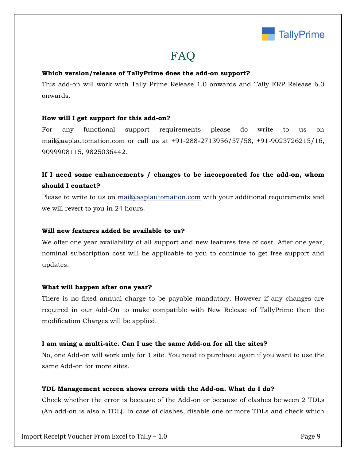

# FAQ

#### **Which version/release of TallyPrime does the add-on support?**

This add-on will work with Tally Prime Release 1.0 onwards and Tally ERP Release 6.0 onwards.

#### **How will I get support for this add-on?**

For any functional support requirements please do write to us on mail@aaplautomation.com or call us at +91-288-2713956/57/58, +91-9023726215/16, 9099908115, 9825036442.

# **If I need some enhancements / changes to be incorporated for the add-on, whom should I contact?**

Please to write to us on mail@aaplautomation.com with your additional requirements and we will revert to you in 24 hours.

#### **Will new features added be available to us?**

We offer one year availability of all support and new features free of cost. After one year, nominal subscription cost will be applicable to you to continue to get free support and updates.

#### **What will happen after one year?**

There is no fixed annual charge to be payable mandatory. However if any changes are required in our Add-On to make compatible with New Release of TallyPrime then the modification Charges will be applied.

#### **I am using a multi-site. Can I use the same Add-on for all the sites?**

No, one Add-on will work only for 1 site. You need to purchase again if you want to use the same Add-on for more sites.

#### **TDL Management screen shows errors with the Add-on. What do I do?**

Check whether the error is because of the Add-on or because of clashes between 2 TDLs (An add-on is also a TDL). In case of clashes, disable one or more TDLs and check which